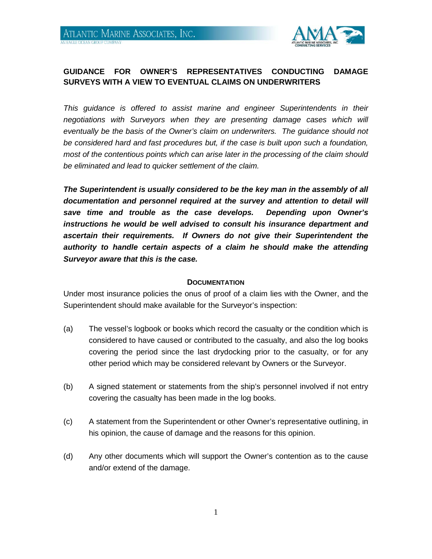

## **GUIDANCE FOR OWNER'S REPRESENTATIVES CONDUCTING DAMAGE SURVEYS WITH A VIEW TO EVENTUAL CLAIMS ON UNDERWRITERS**

*This guidance is offered to assist marine and engineer Superintendents in their negotiations with Surveyors when they are presenting damage cases which will eventually be the basis of the Owner's claim on underwriters. The guidance should not be considered hard and fast procedures but, if the case is built upon such a foundation, most of the contentious points which can arise later in the processing of the claim should be eliminated and lead to quicker settlement of the claim.*

*The Superintendent is usually considered to be the key man in the assembly of all documentation and personnel required at the survey and attention to detail will save time and trouble as the case develops. Depending upon Owner's instructions he would be well advised to consult his insurance department and ascertain their requirements. If Owners do not give their Superintendent the authority to handle certain aspects of a claim he should make the attending Surveyor aware that this is the case.*

#### **DOCUMENTATION**

Under most insurance policies the onus of proof of a claim lies with the Owner, and the Superintendent should make available for the Surveyor's inspection:

- (a) The vessel's logbook or books which record the casualty or the condition which is considered to have caused or contributed to the casualty, and also the log books covering the period since the last drydocking prior to the casualty, or for any other period which may be considered relevant by Owners or the Surveyor.
- (b) A signed statement or statements from the ship's personnel involved if not entry covering the casualty has been made in the log books.
- (c) A statement from the Superintendent or other Owner's representative outlining, in his opinion, the cause of damage and the reasons for this opinion.
- (d) Any other documents which will support the Owner's contention as to the cause and/or extend of the damage.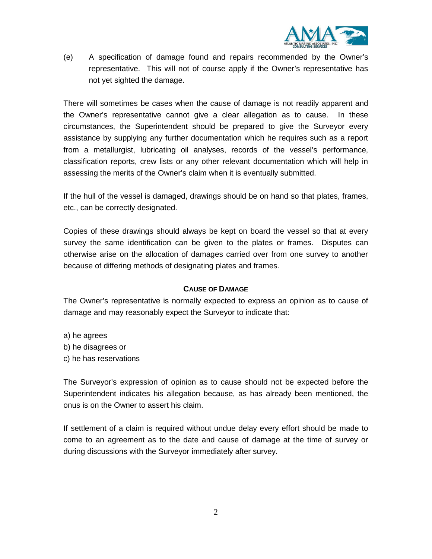

(e) A specification of damage found and repairs recommended by the Owner's representative. This will not of course apply if the Owner's representative has not yet sighted the damage.

There will sometimes be cases when the cause of damage is not readily apparent and the Owner's representative cannot give a clear allegation as to cause. In these circumstances, the Superintendent should be prepared to give the Surveyor every assistance by supplying any further documentation which he requires such as a report from a metallurgist, lubricating oil analyses, records of the vessel's performance, classification reports, crew lists or any other relevant documentation which will help in assessing the merits of the Owner's claim when it is eventually submitted.

If the hull of the vessel is damaged, drawings should be on hand so that plates, frames, etc., can be correctly designated.

Copies of these drawings should always be kept on board the vessel so that at every survey the same identification can be given to the plates or frames. Disputes can otherwise arise on the allocation of damages carried over from one survey to another because of differing methods of designating plates and frames.

#### **CAUSE OF DAMAGE**

The Owner's representative is normally expected to express an opinion as to cause of damage and may reasonably expect the Surveyor to indicate that:

- a) he agrees
- b) he disagrees or
- c) he has reservations

The Surveyor's expression of opinion as to cause should not be expected before the Superintendent indicates his allegation because, as has already been mentioned, the onus is on the Owner to assert his claim.

If settlement of a claim is required without undue delay every effort should be made to come to an agreement as to the date and cause of damage at the time of survey or during discussions with the Surveyor immediately after survey.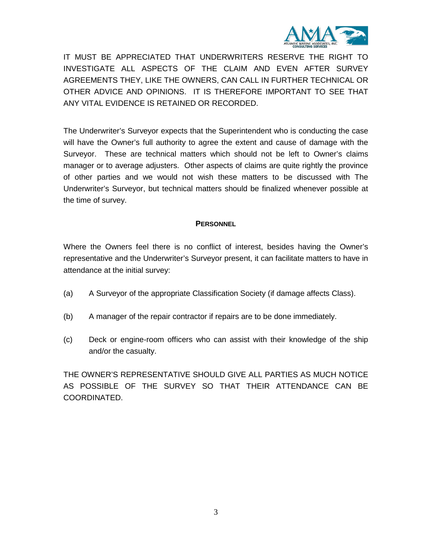

IT MUST BE APPRECIATED THAT UNDERWRITERS RESERVE THE RIGHT TO INVESTIGATE ALL ASPECTS OF THE CLAIM AND EVEN AFTER SURVEY AGREEMENTS THEY, LIKE THE OWNERS, CAN CALL IN FURTHER TECHNICAL OR OTHER ADVICE AND OPINIONS. IT IS THEREFORE IMPORTANT TO SEE THAT ANY VITAL EVIDENCE IS RETAINED OR RECORDED.

The Underwriter's Surveyor expects that the Superintendent who is conducting the case will have the Owner's full authority to agree the extent and cause of damage with the Surveyor. These are technical matters which should not be left to Owner's claims manager or to average adjusters. Other aspects of claims are quite rightly the province of other parties and we would not wish these matters to be discussed with The Underwriter's Surveyor, but technical matters should be finalized whenever possible at the time of survey.

## **PERSONNEL**

Where the Owners feel there is no conflict of interest, besides having the Owner's representative and the Underwriter's Surveyor present, it can facilitate matters to have in attendance at the initial survey:

- (a) A Surveyor of the appropriate Classification Society (if damage affects Class).
- (b) A manager of the repair contractor if repairs are to be done immediately.
- (c) Deck or engine-room officers who can assist with their knowledge of the ship and/or the casualty.

THE OWNER'S REPRESENTATIVE SHOULD GIVE ALL PARTIES AS MUCH NOTICE AS POSSIBLE OF THE SURVEY SO THAT THEIR ATTENDANCE CAN BE COORDINATED.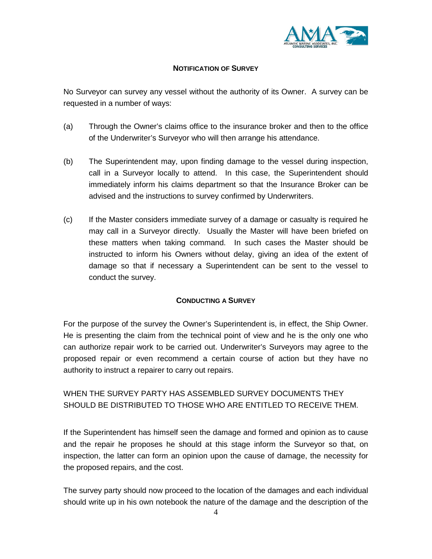

## **NOTIFICATION OF SURVEY**

No Surveyor can survey any vessel without the authority of its Owner. A survey can be requested in a number of ways:

- (a) Through the Owner's claims office to the insurance broker and then to the office of the Underwriter's Surveyor who will then arrange his attendance.
- (b) The Superintendent may, upon finding damage to the vessel during inspection, call in a Surveyor locally to attend. In this case, the Superintendent should immediately inform his claims department so that the Insurance Broker can be advised and the instructions to survey confirmed by Underwriters.
- (c) If the Master considers immediate survey of a damage or casualty is required he may call in a Surveyor directly. Usually the Master will have been briefed on these matters when taking command. In such cases the Master should be instructed to inform his Owners without delay, giving an idea of the extent of damage so that if necessary a Superintendent can be sent to the vessel to conduct the survey.

## **CONDUCTING A SURVEY**

For the purpose of the survey the Owner's Superintendent is, in effect, the Ship Owner. He is presenting the claim from the technical point of view and he is the only one who can authorize repair work to be carried out. Underwriter's Surveyors may agree to the proposed repair or even recommend a certain course of action but they have no authority to instruct a repairer to carry out repairs.

# WHEN THE SURVEY PARTY HAS ASSEMBLED SURVEY DOCUMENTS THEY SHOULD BE DISTRIBUTED TO THOSE WHO ARE ENTITLED TO RECEIVE THEM.

If the Superintendent has himself seen the damage and formed and opinion as to cause and the repair he proposes he should at this stage inform the Surveyor so that, on inspection, the latter can form an opinion upon the cause of damage, the necessity for the proposed repairs, and the cost.

The survey party should now proceed to the location of the damages and each individual should write up in his own notebook the nature of the damage and the description of the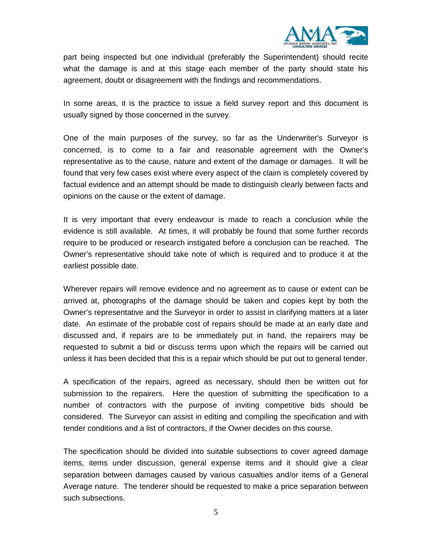

part being inspected but one individual (preferably the Superintendent) should recite what the damage is and at this stage each member of the party should state his agreement, doubt or disagreement with the findings and recommendations.

In some areas, it is the practice to issue a field survey report and this document is usually signed by those concerned in the survey.

One of the main purposes of the survey, so far as the Underwriter's Surveyor is concerned, is to come to a fair and reasonable agreement with the Owner's representative as to the cause, nature and extent of the damage or damages. It will be found that very few cases exist where every aspect of the claim is completely covered by factual evidence and an attempt should be made to distinguish clearly between facts and opinions on the cause or the extent of damage.

It is very important that every endeavour is made to reach a conclusion while the evidence is still available. At times, it will probably be found that some further records require to be produced or research instigated before a conclusion can be reached. The Owner's representative should take note of which is required and to produce it at the earliest possible date.

Wherever repairs will remove evidence and no agreement as to cause or extent can be arrived at, photographs of the damage should be taken and copies kept by both the Owner's representative and the Surveyor in order to assist in clarifying matters at a later date. An estimate of the probable cost of repairs should be made at an early date and discussed and, if repairs are to be immediately put in hand, the repairers may be requested to submit a bid or discuss terms upon which the repairs will be carried out unless it has been decided that this is a repair which should be put out to general tender.

A specification of the repairs, agreed as necessary, should then be written out for submission to the repairers. Here the question of submitting the specification to a number of contractors with the purpose of inviting competitive bids should be considered. The Surveyor can assist in editing and compiling the specification and with tender conditions and a list of contractors, if the Owner decides on this course.

The specification should be divided into suitable subsections to cover agreed damage items, items under discussion, general expense items and it should give a clear separation between damages caused by various casualties and/or items of a General Average nature. The tenderer should be requested to make a price separation between such subsections.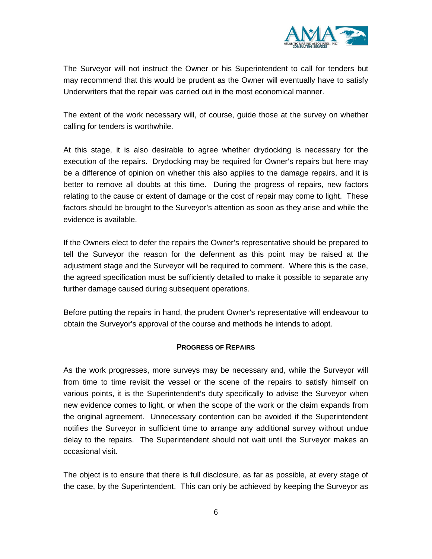

The Surveyor will not instruct the Owner or his Superintendent to call for tenders but may recommend that this would be prudent as the Owner will eventually have to satisfy Underwriters that the repair was carried out in the most economical manner.

The extent of the work necessary will, of course, guide those at the survey on whether calling for tenders is worthwhile.

At this stage, it is also desirable to agree whether drydocking is necessary for the execution of the repairs. Drydocking may be required for Owner's repairs but here may be a difference of opinion on whether this also applies to the damage repairs, and it is better to remove all doubts at this time. During the progress of repairs, new factors relating to the cause or extent of damage or the cost of repair may come to light. These factors should be brought to the Surveyor's attention as soon as they arise and while the evidence is available.

If the Owners elect to defer the repairs the Owner's representative should be prepared to tell the Surveyor the reason for the deferment as this point may be raised at the adjustment stage and the Surveyor will be required to comment. Where this is the case, the agreed specification must be sufficiently detailed to make it possible to separate any further damage caused during subsequent operations.

Before putting the repairs in hand, the prudent Owner's representative will endeavour to obtain the Surveyor's approval of the course and methods he intends to adopt.

## **PROGRESS OF REPAIRS**

As the work progresses, more surveys may be necessary and, while the Surveyor will from time to time revisit the vessel or the scene of the repairs to satisfy himself on various points, it is the Superintendent's duty specifically to advise the Surveyor when new evidence comes to light, or when the scope of the work or the claim expands from the original agreement. Unnecessary contention can be avoided if the Superintendent notifies the Surveyor in sufficient time to arrange any additional survey without undue delay to the repairs. The Superintendent should not wait until the Surveyor makes an occasional visit.

The object is to ensure that there is full disclosure, as far as possible, at every stage of the case, by the Superintendent. This can only be achieved by keeping the Surveyor as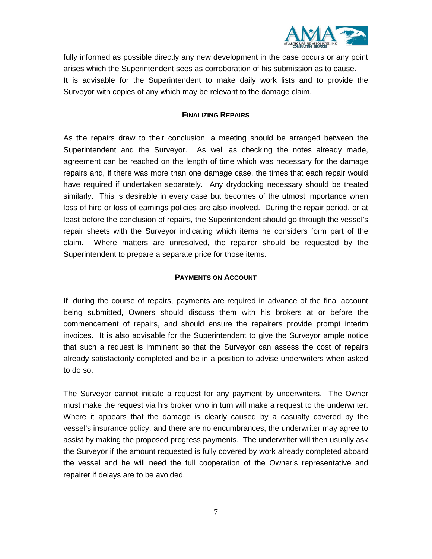

fully informed as possible directly any new development in the case occurs or any point arises which the Superintendent sees as corroboration of his submission as to cause. It is advisable for the Superintendent to make daily work lists and to provide the Surveyor with copies of any which may be relevant to the damage claim.

#### **FINALIZING REPAIRS**

As the repairs draw to their conclusion, a meeting should be arranged between the Superintendent and the Surveyor. As well as checking the notes already made, agreement can be reached on the length of time which was necessary for the damage repairs and, if there was more than one damage case, the times that each repair would have required if undertaken separately. Any drydocking necessary should be treated similarly. This is desirable in every case but becomes of the utmost importance when loss of hire or loss of earnings policies are also involved. During the repair period, or at least before the conclusion of repairs, the Superintendent should go through the vessel's repair sheets with the Surveyor indicating which items he considers form part of the claim. Where matters are unresolved, the repairer should be requested by the Superintendent to prepare a separate price for those items.

#### **PAYMENTS ON ACCOUNT**

If, during the course of repairs, payments are required in advance of the final account being submitted, Owners should discuss them with his brokers at or before the commencement of repairs, and should ensure the repairers provide prompt interim invoices. It is also advisable for the Superintendent to give the Surveyor ample notice that such a request is imminent so that the Surveyor can assess the cost of repairs already satisfactorily completed and be in a position to advise underwriters when asked to do so.

The Surveyor cannot initiate a request for any payment by underwriters. The Owner must make the request via his broker who in turn will make a request to the underwriter. Where it appears that the damage is clearly caused by a casualty covered by the vessel's insurance policy, and there are no encumbrances, the underwriter may agree to assist by making the proposed progress payments. The underwriter will then usually ask the Surveyor if the amount requested is fully covered by work already completed aboard the vessel and he will need the full cooperation of the Owner's representative and repairer if delays are to be avoided.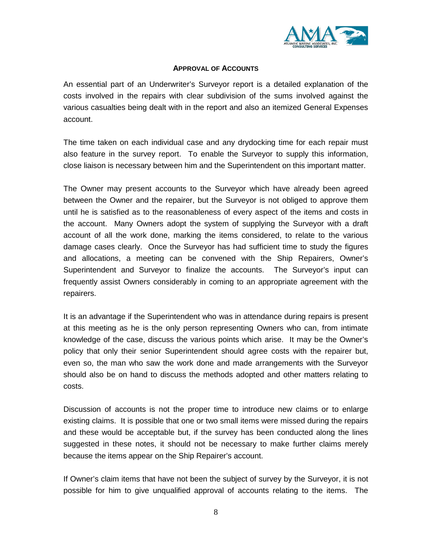

## **APPROVAL OF ACCOUNTS**

An essential part of an Underwriter's Surveyor report is a detailed explanation of the costs involved in the repairs with clear subdivision of the sums involved against the various casualties being dealt with in the report and also an itemized General Expenses account.

The time taken on each individual case and any drydocking time for each repair must also feature in the survey report. To enable the Surveyor to supply this information, close liaison is necessary between him and the Superintendent on this important matter.

The Owner may present accounts to the Surveyor which have already been agreed between the Owner and the repairer, but the Surveyor is not obliged to approve them until he is satisfied as to the reasonableness of every aspect of the items and costs in the account. Many Owners adopt the system of supplying the Surveyor with a draft account of all the work done, marking the items considered, to relate to the various damage cases clearly. Once the Surveyor has had sufficient time to study the figures and allocations, a meeting can be convened with the Ship Repairers, Owner's Superintendent and Surveyor to finalize the accounts. The Surveyor's input can frequently assist Owners considerably in coming to an appropriate agreement with the repairers.

It is an advantage if the Superintendent who was in attendance during repairs is present at this meeting as he is the only person representing Owners who can, from intimate knowledge of the case, discuss the various points which arise. It may be the Owner's policy that only their senior Superintendent should agree costs with the repairer but, even so, the man who saw the work done and made arrangements with the Surveyor should also be on hand to discuss the methods adopted and other matters relating to costs.

Discussion of accounts is not the proper time to introduce new claims or to enlarge existing claims. It is possible that one or two small items were missed during the repairs and these would be acceptable but, if the survey has been conducted along the lines suggested in these notes, it should not be necessary to make further claims merely because the items appear on the Ship Repairer's account.

If Owner's claim items that have not been the subject of survey by the Surveyor, it is not possible for him to give unqualified approval of accounts relating to the items. The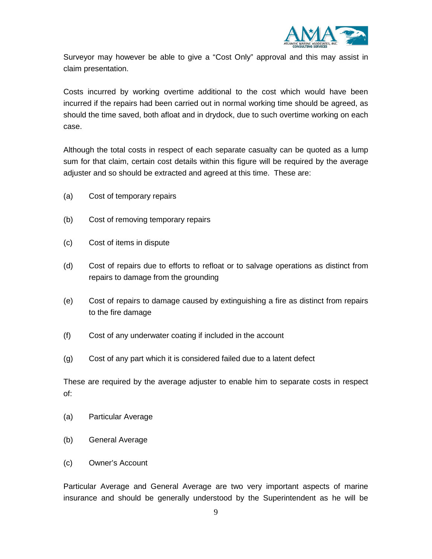

Surveyor may however be able to give a "Cost Only" approval and this may assist in claim presentation.

Costs incurred by working overtime additional to the cost which would have been incurred if the repairs had been carried out in normal working time should be agreed, as should the time saved, both afloat and in drydock, due to such overtime working on each case.

Although the total costs in respect of each separate casualty can be quoted as a lump sum for that claim, certain cost details within this figure will be required by the average adjuster and so should be extracted and agreed at this time. These are:

- (a) Cost of temporary repairs
- (b) Cost of removing temporary repairs
- (c) Cost of items in dispute
- (d) Cost of repairs due to efforts to refloat or to salvage operations as distinct from repairs to damage from the grounding
- (e) Cost of repairs to damage caused by extinguishing a fire as distinct from repairs to the fire damage
- (f) Cost of any underwater coating if included in the account
- (g) Cost of any part which it is considered failed due to a latent defect

These are required by the average adjuster to enable him to separate costs in respect of:

- (a) Particular Average
- (b) General Average
- (c) Owner's Account

Particular Average and General Average are two very important aspects of marine insurance and should be generally understood by the Superintendent as he will be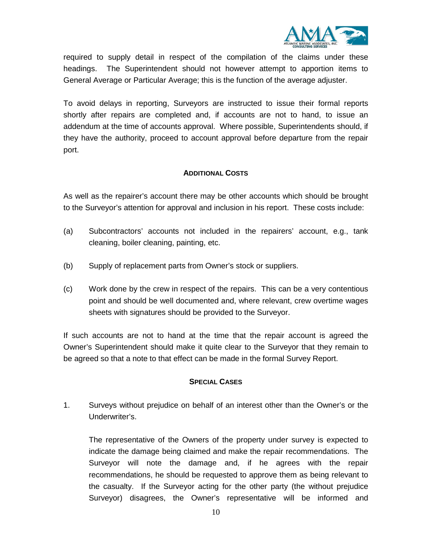

required to supply detail in respect of the compilation of the claims under these headings. The Superintendent should not however attempt to apportion items to General Average or Particular Average; this is the function of the average adjuster.

To avoid delays in reporting, Surveyors are instructed to issue their formal reports shortly after repairs are completed and, if accounts are not to hand, to issue an addendum at the time of accounts approval. Where possible, Superintendents should, if they have the authority, proceed to account approval before departure from the repair port.

## **ADDITIONAL COSTS**

As well as the repairer's account there may be other accounts which should be brought to the Surveyor's attention for approval and inclusion in his report. These costs include:

- (a) Subcontractors' accounts not included in the repairers' account, e.g., tank cleaning, boiler cleaning, painting, etc.
- (b) Supply of replacement parts from Owner's stock or suppliers.
- (c) Work done by the crew in respect of the repairs. This can be a very contentious point and should be well documented and, where relevant, crew overtime wages sheets with signatures should be provided to the Surveyor.

If such accounts are not to hand at the time that the repair account is agreed the Owner's Superintendent should make it quite clear to the Surveyor that they remain to be agreed so that a note to that effect can be made in the formal Survey Report.

#### **SPECIAL CASES**

1. Surveys without prejudice on behalf of an interest other than the Owner's or the Underwriter's.

The representative of the Owners of the property under survey is expected to indicate the damage being claimed and make the repair recommendations. The Surveyor will note the damage and, if he agrees with the repair recommendations, he should be requested to approve them as being relevant to the casualty. If the Surveyor acting for the other party (the without prejudice Surveyor) disagrees, the Owner's representative will be informed and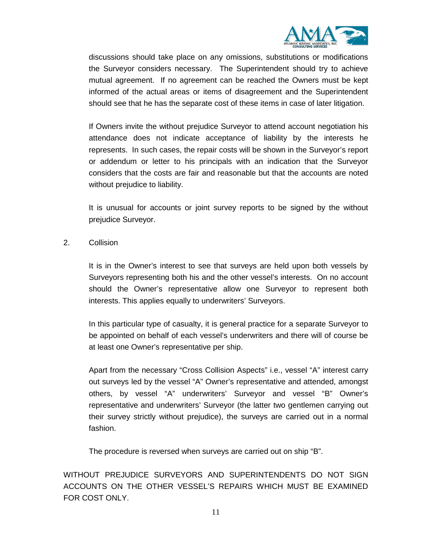

discussions should take place on any omissions, substitutions or modifications the Surveyor considers necessary. The Superintendent should try to achieve mutual agreement. If no agreement can be reached the Owners must be kept informed of the actual areas or items of disagreement and the Superintendent should see that he has the separate cost of these items in case of later litigation.

If Owners invite the without prejudice Surveyor to attend account negotiation his attendance does not indicate acceptance of liability by the interests he represents. In such cases, the repair costs will be shown in the Surveyor's report or addendum or letter to his principals with an indication that the Surveyor considers that the costs are fair and reasonable but that the accounts are noted without prejudice to liability.

It is unusual for accounts or joint survey reports to be signed by the without prejudice Surveyor.

2. Collision

It is in the Owner's interest to see that surveys are held upon both vessels by Surveyors representing both his and the other vessel's interests. On no account should the Owner's representative allow one Surveyor to represent both interests. This applies equally to underwriters' Surveyors.

In this particular type of casualty, it is general practice for a separate Surveyor to be appointed on behalf of each vessel's underwriters and there will of course be at least one Owner's representative per ship.

Apart from the necessary "Cross Collision Aspects" i.e., vessel "A" interest carry out surveys led by the vessel "A" Owner's representative and attended, amongst others, by vessel "A" underwriters' Surveyor and vessel "B" Owner's representative and underwriters' Surveyor (the latter two gentlemen carrying out their survey strictly without prejudice), the surveys are carried out in a normal fashion.

The procedure is reversed when surveys are carried out on ship "B".

WITHOUT PREJUDICE SURVEYORS AND SUPERINTENDENTS DO NOT SIGN ACCOUNTS ON THE OTHER VESSEL'S REPAIRS WHICH MUST BE EXAMINED FOR COST ONLY.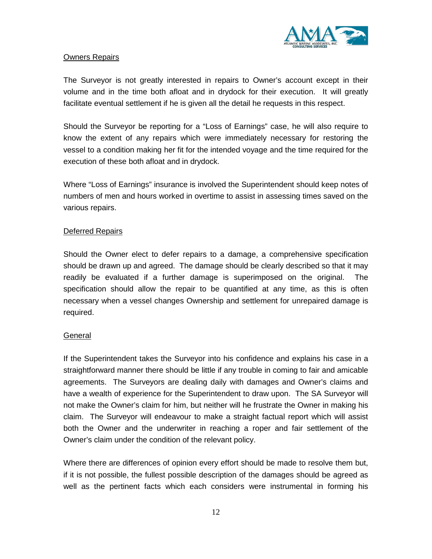

## Owners Repairs

The Surveyor is not greatly interested in repairs to Owner's account except in their volume and in the time both afloat and in drydock for their execution. It will greatly facilitate eventual settlement if he is given all the detail he requests in this respect.

Should the Surveyor be reporting for a "Loss of Earnings" case, he will also require to know the extent of any repairs which were immediately necessary for restoring the vessel to a condition making her fit for the intended voyage and the time required for the execution of these both afloat and in drydock.

Where "Loss of Earnings" insurance is involved the Superintendent should keep notes of numbers of men and hours worked in overtime to assist in assessing times saved on the various repairs.

## Deferred Repairs

Should the Owner elect to defer repairs to a damage, a comprehensive specification should be drawn up and agreed. The damage should be clearly described so that it may readily be evaluated if a further damage is superimposed on the original. The specification should allow the repair to be quantified at any time, as this is often necessary when a vessel changes Ownership and settlement for unrepaired damage is required.

#### **General**

If the Superintendent takes the Surveyor into his confidence and explains his case in a straightforward manner there should be little if any trouble in coming to fair and amicable agreements. The Surveyors are dealing daily with damages and Owner's claims and have a wealth of experience for the Superintendent to draw upon. The SA Surveyor will not make the Owner's claim for him, but neither will he frustrate the Owner in making his claim. The Surveyor will endeavour to make a straight factual report which will assist both the Owner and the underwriter in reaching a roper and fair settlement of the Owner's claim under the condition of the relevant policy.

Where there are differences of opinion every effort should be made to resolve them but, if it is not possible, the fullest possible description of the damages should be agreed as well as the pertinent facts which each considers were instrumental in forming his